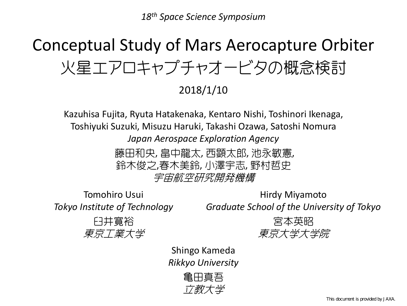*18th Space Science Symposium*

# Conceptual Study of Mars Aerocapture Orbiter 火星エアロキャプチャオービタの概念検討

2018/1/10

Kazuhisa Fujita, Ryuta Hatakenaka, Kentaro Nishi, Toshinori Ikenaga, Toshiyuki Suzuki, Misuzu Haruki, Takashi Ozawa, Satoshi Nomura *Japan Aerospace Exploration Agency*

> 藤田和央, 畠中龍太, 西顕太郎, 池永敏憲, 鈴木俊之,春木美鈴, 小澤宇志, 野村哲史 宇宙航空研究開発機構

Tomohiro Usui*Tokyo Institute of Technology*

Hirdy Miyamoto *Graduate School of the University of Tokyo*

臼井寛裕 東京工業大学



Shingo Kameda *Rikkyo University*

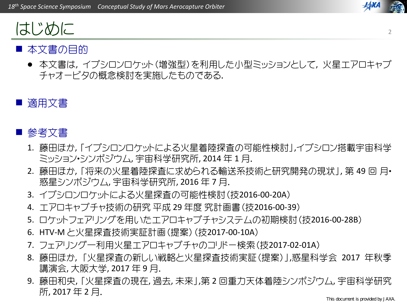

### ■ 本文書の目的

はじめに

● 本文書は, イプシロンロケット(増強型)を利用した小型ミッションとして, 火星エアロキャプ チャオービタの概念検討を実施したものである.

#### Ŧ 適用文書

### ■ 参考文書

- 1. 藤田ほか, 「イプシロンロケットによる火星着陸探査の可能性検討」,イプシロン搭載宇宙科学 ミッション・シンポジウム, 宇宙科学研究所, <sup>2014</sup> 年 <sup>1</sup> 月.
- 2. 藤田ほか, 「将来の火星着陸探査に求められる輸送系技術と研究開発の現状」, 第 49 回 月・ 惑星シンポジウム, 宇宙科学研究所, <sup>2016</sup> 年 <sup>7</sup> 月.
- 3. イプシロンロケットによる火星探査の可能性検討(技2016‐00‐20A)
- 4. エアロキャプチャ技術の研究 平成 <sup>29</sup> 年度 究計画書(技2016‐00‐39)
- 5. ロケットフェアリングを用いたエアロキャプチャシステムの初期検討(技2016‐00‐28B)
- 6. HTV‐M と火星探査技術実証計画(提案)(技2017‐00‐10A)
- 7. フェアリング一利用火星エアロキャプチャのコリドー検索(技2017‐02‐01A)
- 8. 藤田ほか, 「火星探査の新しい戦略と火星探査技術実証(提案)」,惑星科学会 2017 年秋季 講演会, 大阪大学, 2017 年 9 月.
- 9. 藤田和央, 「火星探査の現在, 過去, 未来」,第 <sup>2</sup> 回重力天体着陸シンポジウム, 宇宙科学研究 所, 2017 年 2 月.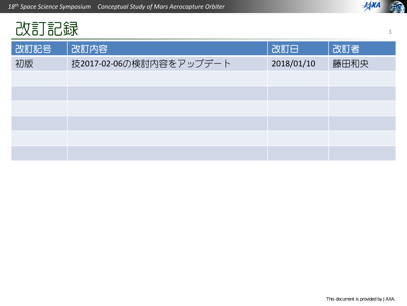

## 改訂記録

| 改訂記号 | 改訂内容                    | 改訂日        | 改訂者  |
|------|-------------------------|------------|------|
| 初版   | 技2017-02-06の検討内容をアップデート | 2018/01/10 | 藤田和央 |
|      |                         |            |      |
|      |                         |            |      |
|      |                         |            |      |
|      |                         |            |      |
|      |                         |            |      |
|      |                         |            |      |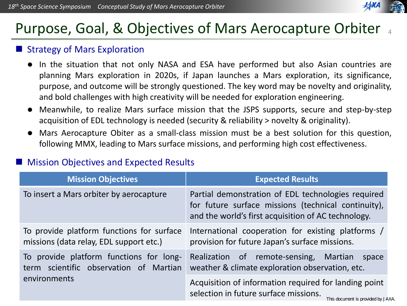### Purpose, Goal, & Objectives of Mars Aerocapture Orbiter 4

#### Ŧ Strategy of Mars Exploration

- $\bullet$  In the situation that not only NASA and ESA have performed but also Asian countries are planning Mars exploration in 2020s, if Japan launches <sup>a</sup> Mars exploration, its significance, purpose, and outcome will be strongly questioned. The key word may be novelty and originality, and bold challenges with high creativity will be needed for exploration engineering.
- $\bullet$  Meanwhile, to realize Mars surface mission that the JSPS supports, secure and step‐by‐step acquisition of EDL technology is needed (security & reliability <sup>&</sup>gt; novelty & originality).
- $\bullet$  Mars Aerocapture Obiter as <sup>a</sup> small‐class mission must be <sup>a</sup> best solution for this question, following MMX, leading to Mars surface missions, and performing high cost effectiveness.

#### Ŧ Mission Objectives and Expected Results

| <b>Mission Objectives</b>                                                            | <b>Expected Results</b>                                                                                                                                          |
|--------------------------------------------------------------------------------------|------------------------------------------------------------------------------------------------------------------------------------------------------------------|
| To insert a Mars orbiter by aerocapture                                              | Partial demonstration of EDL technologies required<br>for future surface missions (technical continuity),<br>and the world's first acquisition of AC technology. |
| To provide platform functions for surface<br>missions (data relay, EDL support etc.) | International cooperation for existing platforms /<br>provision for future Japan's surface missions.                                                             |
| To provide platform functions for long-<br>term scientific observation of Martian    | Realization of remote-sensing,<br>Martian<br>space<br>weather & climate exploration observation, etc.                                                            |
| environments                                                                         | Acquisition of information required for landing point<br>selection in future surface missions.<br>This document is provided by JAXA                              |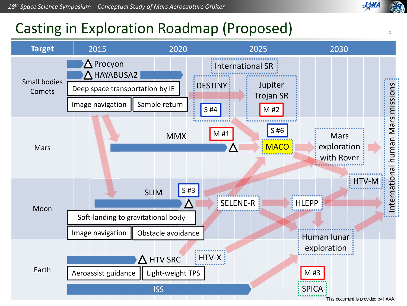### Casting in Exploration Roadmap (Proposed)



5

**JAXA**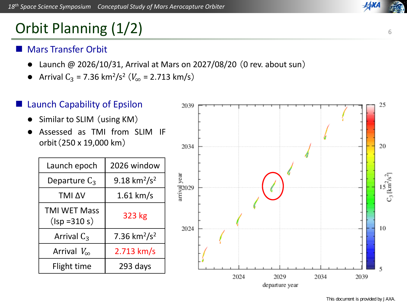### Orbit Planning (1/2)

#### Ŧ Mars Transfer Orbit

- $\bullet$ Launch @ 2026/10/31, Arrival at Mars on 2027/08/20 (0 rev. about sun)
- $\bullet$ • Arrival  $C_3$  = 7.36 km<sup>2</sup>/s<sup>2</sup> ( $V_{\infty}$  = 2.713 km/s)

#### Ŧ Launch Capability of Epsilon

- $\bullet$ Similar to SLIM (using KM)
- $\bullet$  Assessed as TMI from SLIM IF orbit(250 <sup>x</sup> 19,000 km)

| Launch epoch                           | 2026 window                          |
|----------------------------------------|--------------------------------------|
| Departure $C_3$                        | 9.18 km <sup>2</sup> /s <sup>2</sup> |
| <b>TMI AV</b>                          | $1.61$ km/s                          |
| <b>TMI WET Mass</b><br>$(lsp = 310 s)$ | 323 kg                               |
| Arrival $C_3$                          | 7.36 $km^2/s^2$                      |
| Arrival $V_{\infty}$                   | $2.713$ km/s                         |
| Flight time                            | 293 days                             |

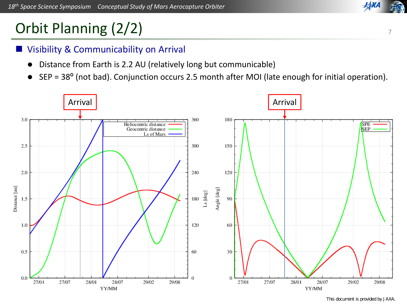## Orbit Planning (2/2)

#### Ŧ Visibility & Communicability on Arrival

- $\bullet$ Distance from Earth is 2.2 AU (relatively long but communicable)
- $\bullet$ SEP <sup>=</sup> 38<sup>º</sup> (not bad). Conjunction occurs 2.5 month after MOI (late enough for initial operation).



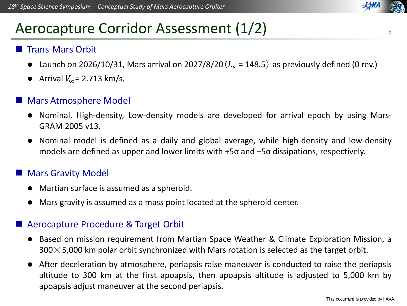### Aerocapture Corridor Assessment (1/2)

#### Ŧ Trans‐Mars Orbit

- Launch on 2026/10/31, Mars arrival on 2027/8/20  $(L_s = 148.5)$  as previously defined (0 rev.)
- Arrival  $V_{\infty}$  = 2.713 km/s,

#### Ŧ Mars Atmosphere Model

- Nominal, High-density, Low-density models are developed for arrival epoch by using Mars-GRAM 2005 v13.
- Nominal model is defined as <sup>a</sup> daily and global average, while high‐density and low‐density models are defined as upper and lower limits with +5σ and –5σ dissipations, respectively.

#### Ŧ Mars Gravity Model

- Martian surface is assumed as <sup>a</sup> spheroid.
- $\bullet$ Mars gravity is assumed as <sup>a</sup> mass point located at the spheroid center.

#### Ŧ Aerocapture Procedure & Target Orbit

- Based on mission requirement from Martian Space Weather & Climate Exploration Mission, <sup>a</sup>  $300\times5,000$  km polar orbit synchronized with Mars rotation is selected as the target orbit.
- $\bullet$  After deceleration by atmosphere, periapsis raise maneuver is conducted to raise the periapsis altitude to 300 km at the first apoapsis, then apoapsis altitude is adjusted to 5,000 km by apoapsis adjust maneuver at the second periapsis.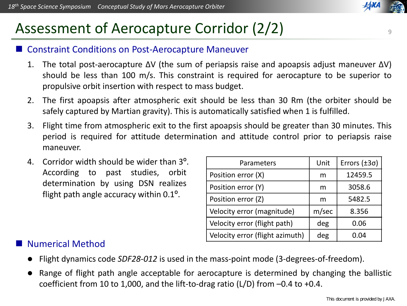### Assessment of Aerocapture Corridor (2/2)

#### Ŧ Constraint Conditions on Post‐Aerocapture Maneuver

- 1. The total post‐aerocapture ΔV (the sum of periapsis raise and apoapsis adjust maneuver ΔV) should be less than 100 m/s. This constraint is required for aerocapture to be superior to propulsive orbit insertion with respect to mass budget.
- 2. The first apoapsis after atmospheric exit should be less than 30 Rm (the orbiter should be safely captured by Martian gravity). This is automatically satisfied when 1 is fulfilled.
- 3. Flight time from atmospheric exit to the first apoapsis should be greater than 30 minutes. This period is required for attitude determination and attitude control prior to periapsis raise maneuver.
- 4. Corridor width should be wider than 3<sup>º</sup>. According to past studies, orbit determination by using DSN realizes flight path angle accuracy within 0.1<sup>º</sup>.

| Parameters                      | Unit  | Errors $(\pm 3\sigma)$ |
|---------------------------------|-------|------------------------|
| Position error (X)              | m     | 12459.5                |
| Position error (Y)              | m     | 3058.6                 |
| Position error (Z)              | m     | 5482.5                 |
| Velocity error (magnitude)      | m/sec | 8.356                  |
| Velocity error (flight path)    | deg   | 0.06                   |
| Velocity error (flight azimuth) | deg   | 0.04                   |

#### Ŧ Numerical Method

- $\bullet$ Flight dynamics code *SDF28‐012* is used in the mass‐point mode (3‐degrees‐of‐freedom).
- $\bullet$  Range of flight path angle acceptable for aerocapture is determined by changing the ballistic coefficient from 10 to 1,000, and the lift-to-drag ratio (L/D) from  $-0.4$  to  $+0.4$ .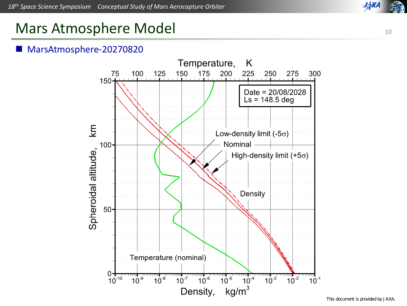

### Mars Atmosphere Model

#### Ŧ MarsAtmosphere‐20270820



This document is provided by JAXA.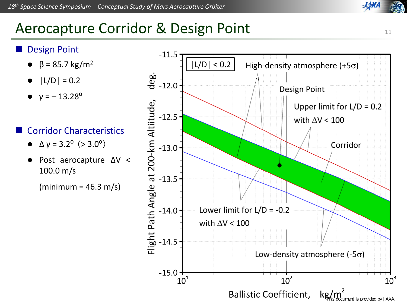

### Aerocapture Corridor & Design Point

#### Ŧ Design Point

- $\theta$  β = 85.7 kg/m<sup>2</sup>
- $\bullet$  $|L/D| = 0.2$
- $\bullet$  $y = -13.28^{\circ}$

#### Ŧ Corridor Characteristics

- $\bullet$  $Δ$  γ = 3.2<sup>o</sup> (> 3.0<sup>o</sup>)
- $\bullet$  Post aerocapture ΔV <sup>&</sup>lt; 100.0 m/s

 $(\text{minimum} = 46.3 \text{ m/s})$ 



11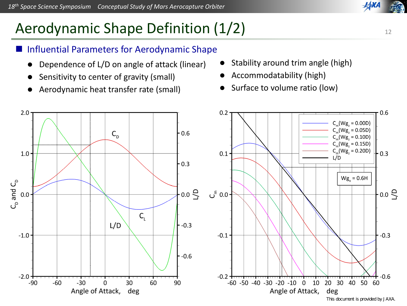### Aerodynamic Shape Definition (1/2)

#### Ŧ Influential Parameters for Aerodynamic Shape

- $\bullet$ Dependence of L/D on angle of attack (linear)
- $\bullet$ Sensitivity to center of gravity (small)
- $\bullet$ Aerodynamic heat transfer rate (small)
- $\bullet$ Stability around trim angle (high)
- $\bullet$ Accommodatability (high)
- $\bullet$ Surface to volume ratio (low)

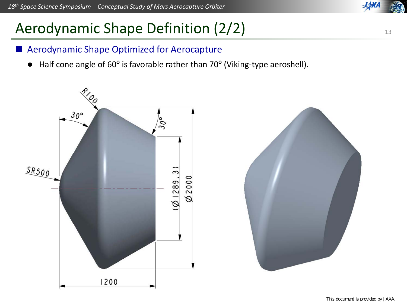## Aerodynamic Shape Definition (2/2)

#### Ŧ Aerodynamic Shape Optimized for Aerocapture

 $\bullet$ Half cone angle of 60° is favorable rather than 70° (Viking-type aeroshell).



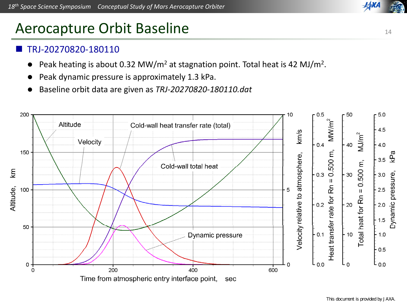### Aerocapture Orbit Baseline

#### Ŧ TRJ‐20270820‐180110

- $\bullet$ Peak heating is about 0.32 MW/m<sup>2</sup> at stagnation point. Total heat is 42 MJ/m<sup>2</sup>.
- $\bullet$ Peak dynamic pressure is approximately 1.3 kPa.
- $\bullet$ Baseline orbit data are given as *TRJ‐20270820‐180110.dat*



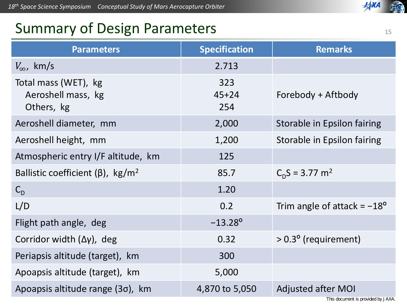### **XXA**

### Summary of Design Parameters

| <b>Parameters</b>                                        | <b>Specification</b>    | <b>Remarks</b>                       |
|----------------------------------------------------------|-------------------------|--------------------------------------|
| $V_{\infty}$ , km/s                                      | 2.713                   |                                      |
| Total mass (WET), kg<br>Aeroshell mass, kg<br>Others, kg | 323<br>$45 + 24$<br>254 | Forebody + Aftbody                   |
| Aeroshell diameter, mm                                   | 2,000                   | Storable in Epsilon fairing          |
| Aeroshell height, mm                                     | 1,200                   | Storable in Epsilon fairing          |
| Atmospheric entry I/F altitude, km                       | 125                     |                                      |
| Ballistic coefficient ( $\beta$ ), kg/m <sup>2</sup>     | 85.7                    | $C_0S = 3.77$ m <sup>2</sup>         |
| $C_{D}$                                                  | 1.20                    |                                      |
| L/D                                                      | 0.2                     | Trim angle of attack = $-18^{\circ}$ |
| Flight path angle, deg                                   | $-13.28^{\circ}$        |                                      |
| Corridor width $(\Delta y)$ , deg                        | 0.32                    | $> 0.3^{\circ}$ (requirement)        |
| Periapsis altitude (target), km                          | 300                     |                                      |
| Apoapsis altitude (target), km                           | 5,000                   |                                      |
| Apoapsis altitude range (3o), km                         | 4,870 to 5,050          | <b>Adjusted after MOI</b>            |
|                                                          |                         |                                      |

This document is provided by JAXA.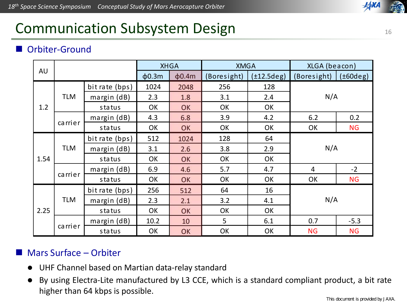### **JAXA**

### Communication Subsystem Design

#### Ŧ Orbiter‐Ground

|      |            | <b>XHGA</b>       |             | <b>XMGA</b> |             | XLGA (beacon)           |             |           |
|------|------------|-------------------|-------------|-------------|-------------|-------------------------|-------------|-----------|
| AU   |            |                   | $\phi$ 0.3m | $\phi$ 0.4m | (Boresight) | $(\pm 12.5 \text{deg})$ | (Boresight) | (t60deg)  |
| 1.2  | <b>TLM</b> | bit rate (bps)    | 1024        | 2048        | 256         | 128                     | N/A         |           |
|      |            | margin (dB)       | 2.3         | 1.8         | 3.1         | 2.4                     |             |           |
|      |            | status            | OK          | OK          | <b>OK</b>   | OK                      |             |           |
|      |            | margin $(dB)$     | 4.3         | 6.8         | 3.9         | 4.2                     | 6.2         | 0.2       |
|      | carrier    | status            | OK          | OK          | OK          | OK                      | OK          | <b>NG</b> |
|      | <b>TLM</b> | bit rate (bps)    | 512         | 1024        | 128         | 64                      |             |           |
| 1.54 |            | margin $(dB)$     | 3.1         | 2.6         | 3.8         | 2.9                     | N/A         |           |
|      |            | status            | OK          | OK          | OK          | OK                      |             |           |
|      |            | margin $(dB)$     | 6.9         | 4.6         | 5.7         | 4.7                     | 4           | $-2$      |
|      | carrier    | status            | OK          | OK          | OK          | OK                      | OK          | <b>NG</b> |
| 2.25 | <b>TLM</b> | bit rate (bps)    | 256         | 512         | 64          | 16                      |             |           |
|      |            | margin $(dB)$     | 2.3         | 2.1         | 3.2         | 4.1                     | N/A         |           |
|      |            | status            | OK          | OK          | OK          | OK                      |             |           |
|      | carrier    | $margin$ ( $dB$ ) | 10.2        | 10          | 5           | 6.1                     | 0.7         | $-5.3$    |
|      |            | status            | OK          | OK          | OK          | OK                      | <b>NG</b>   | <b>NG</b> |

#### F Mars Surface – Orbiter

- $\bullet$ UHF Channel based on Martian data‐relay standard
- $\bullet$ By using Electra-Lite manufactured by L3 CCE, which is a standard compliant product, a bit rate higher than 64 kbps is possible.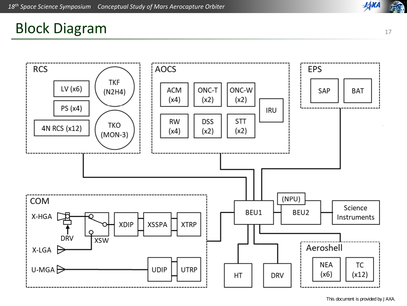### **HAXA** 麻油

### Block Diagram



This document is provided by JAXA.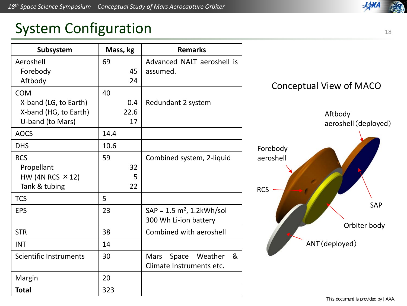### System Configuration

| Subsystem               | Mass, kg | <b>Remarks</b>                |  |  |
|-------------------------|----------|-------------------------------|--|--|
| Aeroshell               | 69       | Advanced NALT aeroshell is    |  |  |
| Forebody                | 45       | assumed.                      |  |  |
| Aftbody                 | 24       |                               |  |  |
| <b>COM</b>              | 40       |                               |  |  |
| X-band (LG, to Earth)   | 0.4      | Redundant 2 system            |  |  |
| X-band (HG, to Earth)   | 22.6     |                               |  |  |
| U-band (to Mars)        | 17       |                               |  |  |
| <b>AOCS</b>             | 14.4     |                               |  |  |
| <b>DHS</b>              | 10.6     |                               |  |  |
| <b>RCS</b>              | 59       | Combined system, 2-liquid     |  |  |
| Propellant              | 32       |                               |  |  |
| HW (4N RCS $\times$ 12) | 5        |                               |  |  |
| Tank & tubing           | 22       |                               |  |  |
| <b>TCS</b>              | 5        |                               |  |  |
| <b>EPS</b>              | 23       | $SAP = 1.5 m2, 1.2kWh/sol$    |  |  |
|                         |          | 300 Wh Li-ion battery         |  |  |
| <b>STR</b>              | 38       | Combined with aeroshell       |  |  |
| <b>INT</b>              | 14       |                               |  |  |
| Scientific Instruments  | 30       | Mars<br>&<br>Space<br>Weather |  |  |
|                         |          | Climate Instruments etc.      |  |  |
| Margin                  | 20       |                               |  |  |
| <b>Total</b>            | 323      |                               |  |  |



**JAXI** 

This document is provided by JAXA.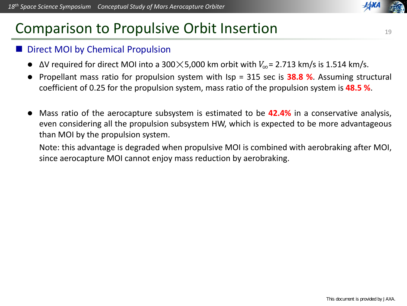### Comparison to Propulsive Orbit Insertion

#### Ŧ Direct MOI by Chemical Propulsion

- $\bullet$  $\Delta$ V required for direct MOI into a 300 $\times$ 5,000 km orbit with  $V_{\infty}$  = 2.713 km/s is 1.514 km/s.
- $\bullet$  Propellant mass ratio for propulsion system with Isp <sup>=</sup> 315 sec is **38.8 %**. Assuming structural coefficient of 0.25 for the propulsion system, mass ratio of the propulsion system is **48.5 %**.
- $\bullet$  Mass ratio of the aerocapture subsystem is estimated to be **42.4%** in <sup>a</sup> conservative analysis, even considering all the propulsion subsystem HW, which is expected to be more advantageous than MOI by the propulsion system.

Note: this advantage is degraded when propulsive MOI is combined with aerobraking after MOI, since aerocapture MOI cannot enjoy mass reduction by aerobraking.



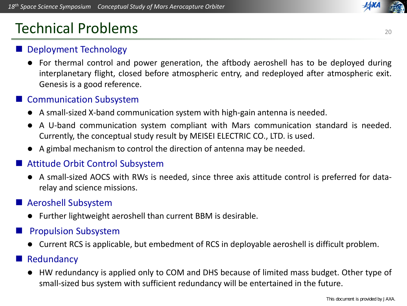### Technical Problems

### Ŧ Deployment Technology

 For thermal control and power generation, the aftbody aeroshell has to be deployed during interplanetary flight, closed before atmospheric entry, and redeployed after atmospheric exit. Genesis is <sup>a</sup> good reference.

### **Communication Subsystem**

- A small‐sized X‐band communication system with high‐gain antenna is needed.
- A U-band communication system compliant with Mars communication standard is needed. Currently, the conceptual study result by MEISEI ELECTRIC CO., LTD. is used.
- A gimbal mechanism to control the direction of antenna may be needed.

#### Ŧ Attitude Orbit Control Subsystem

● A small-sized AOCS with RWs is needed, since three axis attitude control is preferred for datarelay and science missions.

#### Ŧ Aeroshell Subsystem

Further lightweight aeroshell than current BBM is desirable.

#### Ŧ Propulsion Subsystem

Current RCS is applicable, but embedment of RCS in deployable aeroshell is difficult problem.

#### Ŧ Redundancy

 $\bullet$  HW redundancy is applied only to COM and DHS because of limited mass budget. Other type of small‐sized bus system with sufficient redundancy will be entertained in the future.